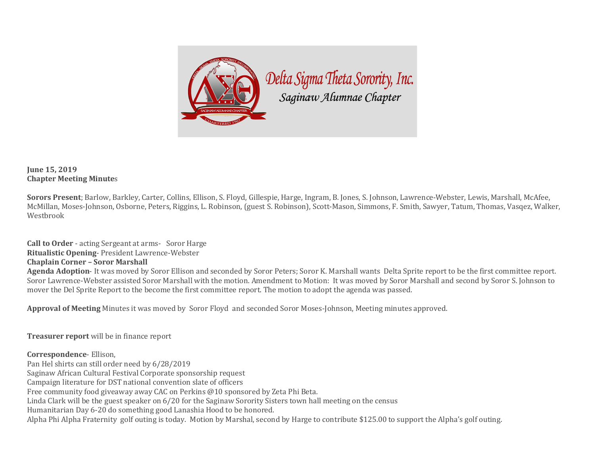

## **June 15, 2019 Chapter Meeting Minutes**

Sorors Present; Barlow, Barkley, Carter, Collins, Ellison, S. Floyd, Gillespie, Harge, Ingram, B. Jones, S. Johnson, Lawrence-Webster, Lewis, Marshall, McAfee, McMillan, Moses-Johnson, Osborne, Peters, Riggins, L. Robinson, (guest S. Robinson), Scott-Mason, Simmons, F. Smith, Sawyer, Tatum, Thomas, Vasqez, Walker, Westbrook

**Call to Order** - acting Sergeant at arms- Soror Harge **Ritualistic Opening-President Lawrence-Webster Chaplain Corner - Soror Marshall** Agenda Adoption- It was moved by Soror Ellison and seconded by Soror Peters; Soror K. Marshall wants Delta Sprite report to be the first committee report. Soror Lawrence-Webster assisted Soror Marshall with the motion. Amendment to Motion: It was moved by Soror Marshall and second by Soror S. Johnson to mover the Del Sprite Report to the become the first committee report. The motion to adopt the agenda was passed.

**Approval of Meeting** Minutes it was moved by Soror Floyd and seconded Soror Moses-Johnson, Meeting minutes approved.

**Treasurer report** will be in finance report

**Correspondence**- Ellison, Pan Hel shirts can still order need by 6/28/2019 Saginaw African Cultural Festival Corporate sponsorship request Campaign literature for DST national convention slate of officers Free community food giveaway away CAC on Perkins  $@10$  sponsored by Zeta Phi Beta. Linda Clark will be the guest speaker on  $6/20$  for the Saginaw Sorority Sisters town hall meeting on the census Humanitarian Day 6-20 do something good Lanashia Hood to be honored. Alpha Phi Alpha Fraternity golf outing is today. Motion by Marshal, second by Harge to contribute \$125.00 to support the Alpha's golf outing.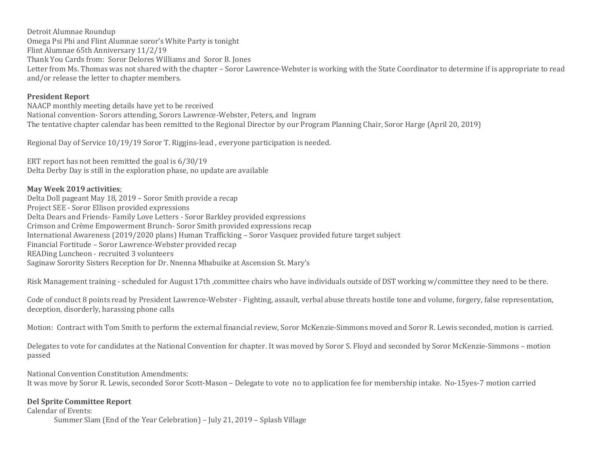Detroit Alumnae Roundup Omega Psi Phi and Flint Alumnae soror's White Party is tonight Flint Alumnae 65th Anniversary 11/2/19 Thank You Cards from: Soror Delores Williams and Soror B. Jones Letter from Ms. Thomas was not shared with the chapter – Soror Lawrence-Webster is working with the State Coordinator to determine if is appropriate to read and/or release the letter to chapter members.

## **President Report**

NAACP monthly meeting details have yet to be received National convention- Sorors attending, Sorors Lawrence-Webster, Peters, and Ingram The tentative chapter calendar has been remitted to the Regional Director by our Program Planning Chair, Soror Harge (April 20, 2019)

Regional Day of Service 10/19/19 Soror T. Riggins-lead, everyone participation is needed.

ERT report has not been remitted the goal is  $6/30/19$ Delta Derby Day is still in the exploration phase, no update are available

## **May Week 2019 activities**;

Delta Doll pageant May 18, 2019 - Soror Smith provide a recap Project SEE - Soror Ellison provided expressions Delta Dears and Friends- Family Love Letters - Soror Barkley provided expressions Crimson and Crème Empowerment Brunch- Soror Smith provided expressions recap International Awareness (2019/2020 plans) Human Trafficking – Soror Vasquez provided future target subject Financial Fortitude – Soror Lawrence-Webster provided recap READing Luncheon - recruited 3 volunteers Saginaw Sorority Sisters Reception for Dr. Nnenna Mbabuike at Ascension St. Mary's

Risk Management training - scheduled for August 17th, committee chairs who have individuals outside of DST working w/committee they need to be there.

Code of conduct 8 points read by President Lawrence-Webster - Fighting, assault, verbal abuse threats hostile tone and volume, forgery, false representation, deception, disorderly, harassing phone calls

Motion: Contract with Tom Smith to perform the external financial review, Soror McKenzie-Simmons moved and Soror R. Lewis seconded, motion is carried.

Delegates to vote for candidates at the National Convention for chapter. It was moved by Soror S. Floyd and seconded by Soror McKenzie-Simmons – motion passed

National Convention Constitution Amendments:

It was move by Soror R. Lewis, seconded Soror Scott-Mason – Delegate to vote no to application fee for membership intake. No-15yes-7 motion carried

## **Del Sprite Committee Report**

Calendar of Events:

Summer Slam (End of the Year Celebration) – July 21, 2019 – Splash Village